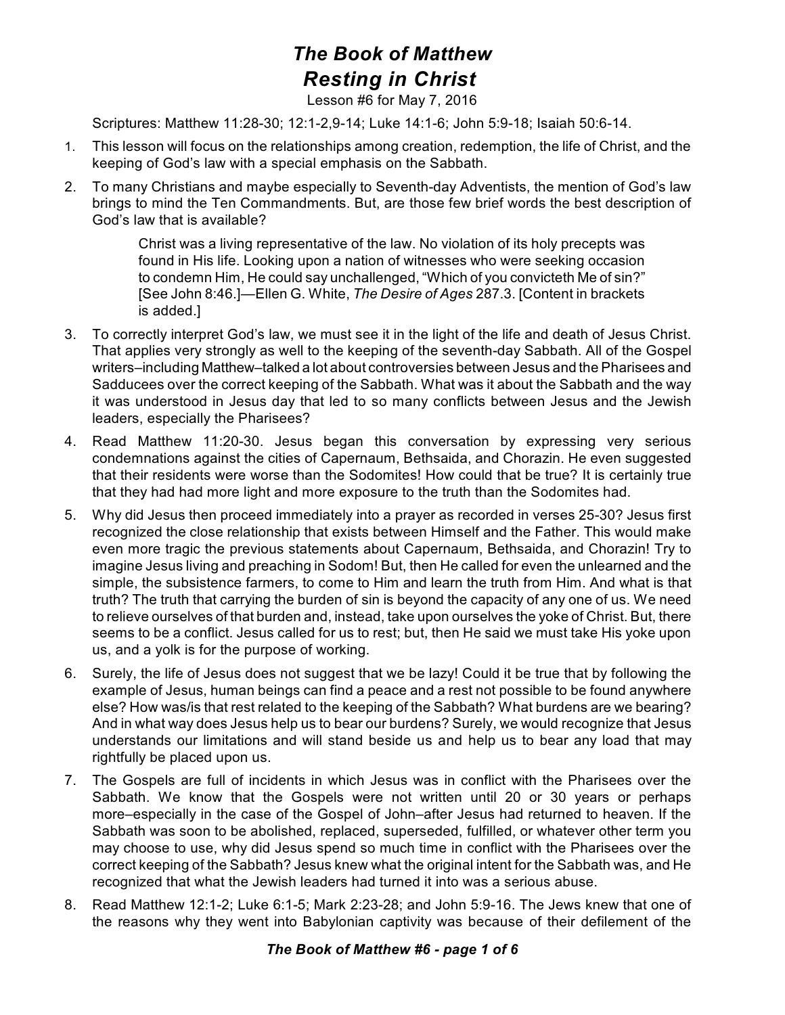## *The Book of Matthew Resting in Christ*

Lesson #6 for May 7, 2016

Scriptures: Matthew 11:28-30; 12:1-2,9-14; Luke 14:1-6; John 5:9-18; Isaiah 50:6-14.

- 1. This lesson will focus on the relationships among creation, redemption, the life of Christ, and the keeping of God's law with a special emphasis on the Sabbath.
- 2. To many Christians and maybe especially to Seventh-day Adventists, the mention of God's law brings to mind the Ten Commandments. But, are those few brief words the best description of God's law that is available?

Christ was a living representative of the law. No violation of its holy precepts was found in His life. Looking upon a nation of witnesses who were seeking occasion to condemn Him, He could say unchallenged, "Which of you convicteth Me of sin?" [See John 8:46.]—Ellen G. White, *The Desire of Ages* 287.3. [Content in brackets is added.]

- 3. To correctly interpret God's law, we must see it in the light of the life and death of Jesus Christ. That applies very strongly as well to the keeping of the seventh-day Sabbath. All of the Gospel writers–including Matthew–talked a lot about controversies between Jesus and the Pharisees and Sadducees over the correct keeping of the Sabbath. What was it about the Sabbath and the way it was understood in Jesus day that led to so many conflicts between Jesus and the Jewish leaders, especially the Pharisees?
- 4. Read Matthew 11:20-30. Jesus began this conversation by expressing very serious condemnations against the cities of Capernaum, Bethsaida, and Chorazin. He even suggested that their residents were worse than the Sodomites! How could that be true? It is certainly true that they had had more light and more exposure to the truth than the Sodomites had.
- 5. Why did Jesus then proceed immediately into a prayer as recorded in verses 25-30? Jesus first recognized the close relationship that exists between Himself and the Father. This would make even more tragic the previous statements about Capernaum, Bethsaida, and Chorazin! Try to imagine Jesus living and preaching in Sodom! But, then He called for even the unlearned and the simple, the subsistence farmers, to come to Him and learn the truth from Him. And what is that truth? The truth that carrying the burden of sin is beyond the capacity of any one of us. We need to relieve ourselves of that burden and, instead, take upon ourselves the yoke of Christ. But, there seems to be a conflict. Jesus called for us to rest; but, then He said we must take His yoke upon us, and a yolk is for the purpose of working.
- 6. Surely, the life of Jesus does not suggest that we be lazy! Could it be true that by following the example of Jesus, human beings can find a peace and a rest not possible to be found anywhere else? How was/is that rest related to the keeping of the Sabbath? What burdens are we bearing? And in what way does Jesus help us to bear our burdens? Surely, we would recognize that Jesus understands our limitations and will stand beside us and help us to bear any load that may rightfully be placed upon us.
- 7. The Gospels are full of incidents in which Jesus was in conflict with the Pharisees over the Sabbath. We know that the Gospels were not written until 20 or 30 years or perhaps more–especially in the case of the Gospel of John–after Jesus had returned to heaven. If the Sabbath was soon to be abolished, replaced, superseded, fulfilled, or whatever other term you may choose to use, why did Jesus spend so much time in conflict with the Pharisees over the correct keeping of the Sabbath? Jesus knew what the original intent for the Sabbath was, and He recognized that what the Jewish leaders had turned it into was a serious abuse.
- 8. Read Matthew 12:1-2; Luke 6:1-5; Mark 2:23-28; and John 5:9-16. The Jews knew that one of the reasons why they went into Babylonian captivity was because of their defilement of the

## *The Book of Matthew #6 - page 1 of 6*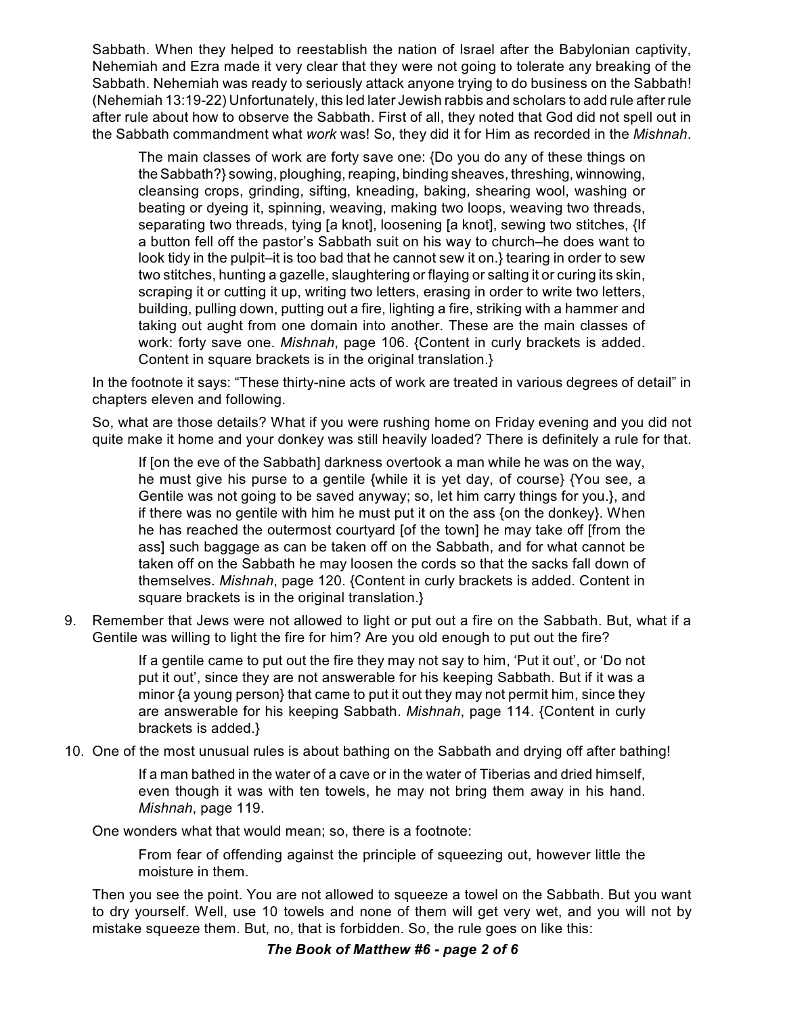Sabbath. When they helped to reestablish the nation of Israel after the Babylonian captivity, Nehemiah and Ezra made it very clear that they were not going to tolerate any breaking of the Sabbath. Nehemiah was ready to seriously attack anyone trying to do business on the Sabbath! (Nehemiah 13:19-22) Unfortunately, this led later Jewish rabbis and scholars to add rule after rule after rule about how to observe the Sabbath. First of all, they noted that God did not spell out in the Sabbath commandment what *work* was! So, they did it for Him as recorded in the *Mishnah*.

The main classes of work are forty save one: {Do you do any of these things on the Sabbath?} sowing, ploughing, reaping, binding sheaves, threshing, winnowing, cleansing crops, grinding, sifting, kneading, baking, shearing wool, washing or beating or dyeing it, spinning, weaving, making two loops, weaving two threads, separating two threads, tying [a knot], loosening [a knot], sewing two stitches, {If a button fell off the pastor's Sabbath suit on his way to church–he does want to look tidy in the pulpit–it is too bad that he cannot sew it on.} tearing in order to sew two stitches, hunting a gazelle, slaughtering or flaying or salting it or curing its skin, scraping it or cutting it up, writing two letters, erasing in order to write two letters, building, pulling down, putting out a fire, lighting a fire, striking with a hammer and taking out aught from one domain into another. These are the main classes of work: forty save one. *Mishnah*, page 106. {Content in curly brackets is added. Content in square brackets is in the original translation.}

In the footnote it says: "These thirty-nine acts of work are treated in various degrees of detail" in chapters eleven and following.

So, what are those details? What if you were rushing home on Friday evening and you did not quite make it home and your donkey was still heavily loaded? There is definitely a rule for that.

If [on the eve of the Sabbath] darkness overtook a man while he was on the way, he must give his purse to a gentile {while it is yet day, of course} {You see, a Gentile was not going to be saved anyway; so, let him carry things for you.}, and if there was no gentile with him he must put it on the ass {on the donkey}. When he has reached the outermost courtyard [of the town] he may take off [from the ass] such baggage as can be taken off on the Sabbath, and for what cannot be taken off on the Sabbath he may loosen the cords so that the sacks fall down of themselves. *Mishnah*, page 120. {Content in curly brackets is added. Content in square brackets is in the original translation.}

9. Remember that Jews were not allowed to light or put out a fire on the Sabbath. But, what if a Gentile was willing to light the fire for him? Are you old enough to put out the fire?

> If a gentile came to put out the fire they may not say to him, 'Put it out', or 'Do not put it out', since they are not answerable for his keeping Sabbath. But if it was a minor {a young person} that came to put it out they may not permit him, since they are answerable for his keeping Sabbath. *Mishnah*, page 114. {Content in curly brackets is added.}

10. One of the most unusual rules is about bathing on the Sabbath and drying off after bathing!

If a man bathed in the water of a cave or in the water of Tiberias and dried himself, even though it was with ten towels, he may not bring them away in his hand. *Mishnah*, page 119.

One wonders what that would mean; so, there is a footnote:

From fear of offending against the principle of squeezing out, however little the moisture in them.

Then you see the point. You are not allowed to squeeze a towel on the Sabbath. But you want to dry yourself. Well, use 10 towels and none of them will get very wet, and you will not by mistake squeeze them. But, no, that is forbidden. So, the rule goes on like this: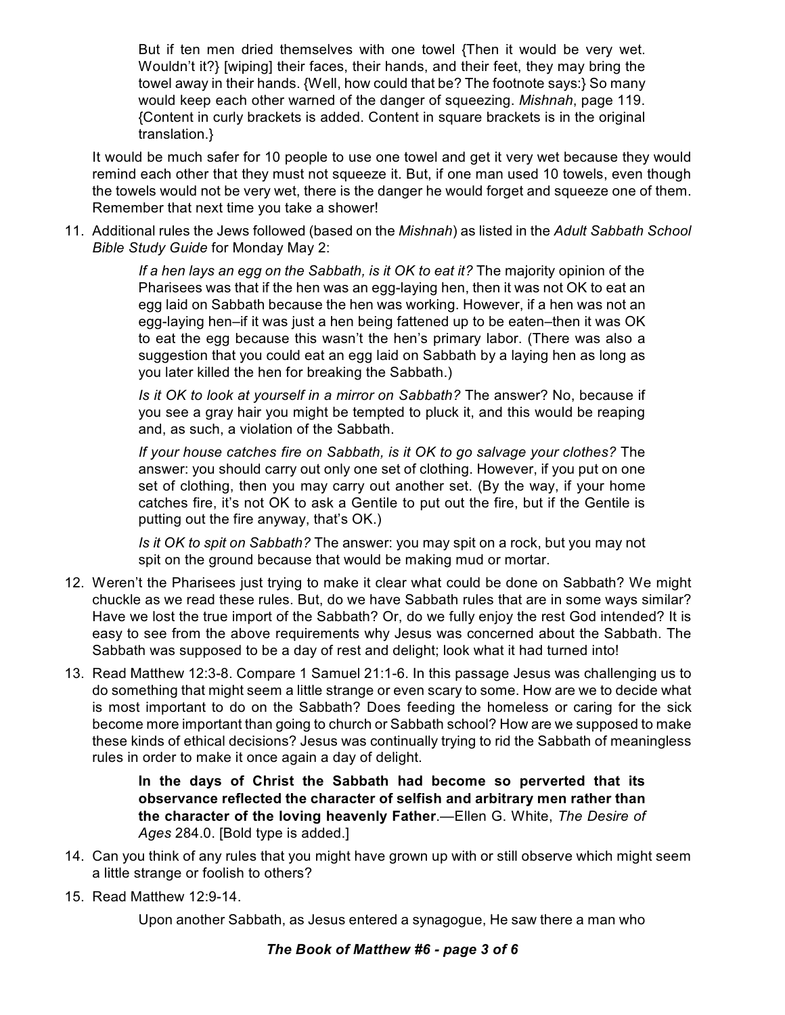But if ten men dried themselves with one towel {Then it would be very wet. Wouldn't it?} [wiping] their faces, their hands, and their feet, they may bring the towel away in their hands. {Well, how could that be? The footnote says:} So many would keep each other warned of the danger of squeezing. *Mishnah*, page 119. {Content in curly brackets is added. Content in square brackets is in the original translation.}

It would be much safer for 10 people to use one towel and get it very wet because they would remind each other that they must not squeeze it. But, if one man used 10 towels, even though the towels would not be very wet, there is the danger he would forget and squeeze one of them. Remember that next time you take a shower!

11. Additional rules the Jews followed (based on the *Mishnah*) as listed in the *Adult Sabbath School Bible Study Guide* for Monday May 2:

> *If a hen lays an egg on the Sabbath, is it OK to eat it?* The majority opinion of the Pharisees was that if the hen was an egg-laying hen, then it was not OK to eat an egg laid on Sabbath because the hen was working. However, if a hen was not an egg-laying hen–if it was just a hen being fattened up to be eaten–then it was OK to eat the egg because this wasn't the hen's primary labor. (There was also a suggestion that you could eat an egg laid on Sabbath by a laying hen as long as you later killed the hen for breaking the Sabbath.)

> *Is it OK to look at yourself in a mirror on Sabbath?* The answer? No, because if you see a gray hair you might be tempted to pluck it, and this would be reaping and, as such, a violation of the Sabbath.

> *If your house catches fire on Sabbath, is it OK to go salvage your clothes?* The answer: you should carry out only one set of clothing. However, if you put on one set of clothing, then you may carry out another set. (By the way, if your home catches fire, it's not OK to ask a Gentile to put out the fire, but if the Gentile is putting out the fire anyway, that's OK.)

> *Is it OK to spit on Sabbath?* The answer: you may spit on a rock, but you may not spit on the ground because that would be making mud or mortar.

- 12. Weren't the Pharisees just trying to make it clear what could be done on Sabbath? We might chuckle as we read these rules. But, do we have Sabbath rules that are in some ways similar? Have we lost the true import of the Sabbath? Or, do we fully enjoy the rest God intended? It is easy to see from the above requirements why Jesus was concerned about the Sabbath. The Sabbath was supposed to be a day of rest and delight; look what it had turned into!
- 13. Read Matthew 12:3-8. Compare 1 Samuel 21:1-6. In this passage Jesus was challenging us to do something that might seem a little strange or even scary to some. How are we to decide what is most important to do on the Sabbath? Does feeding the homeless or caring for the sick become more important than going to church or Sabbath school? How are we supposed to make these kinds of ethical decisions? Jesus was continually trying to rid the Sabbath of meaningless rules in order to make it once again a day of delight.

**In the days of Christ the Sabbath had become so perverted that its observance reflected the character of selfish and arbitrary men rather than the character of the loving heavenly Father**.—Ellen G. White, *The Desire of Ages* 284.0. [Bold type is added.]

- 14. Can you think of any rules that you might have grown up with or still observe which might seem a little strange or foolish to others?
- 15. Read Matthew 12:9-14.

Upon another Sabbath, as Jesus entered a synagogue, He saw there a man who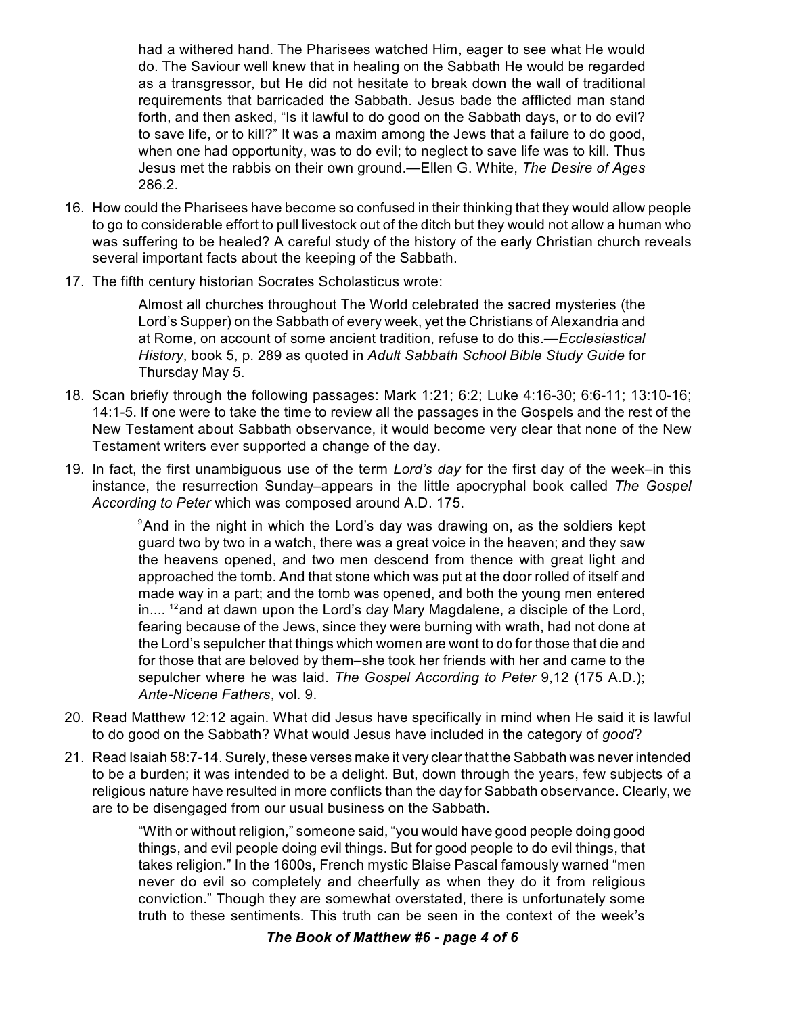had a withered hand. The Pharisees watched Him, eager to see what He would do. The Saviour well knew that in healing on the Sabbath He would be regarded as a transgressor, but He did not hesitate to break down the wall of traditional requirements that barricaded the Sabbath. Jesus bade the afflicted man stand forth, and then asked, "Is it lawful to do good on the Sabbath days, or to do evil? to save life, or to kill?" It was a maxim among the Jews that a failure to do good, when one had opportunity, was to do evil; to neglect to save life was to kill. Thus Jesus met the rabbis on their own ground.—Ellen G. White, *The Desire of Ages* 286.2.

- 16. How could the Pharisees have become so confused in their thinking that they would allow people to go to considerable effort to pull livestock out of the ditch but they would not allow a human who was suffering to be healed? A careful study of the history of the early Christian church reveals several important facts about the keeping of the Sabbath.
- 17. The fifth century historian Socrates Scholasticus wrote:

Almost all churches throughout The World celebrated the sacred mysteries (the Lord's Supper) on the Sabbath of every week, yet the Christians of Alexandria and at Rome, on account of some ancient tradition, refuse to do this.—*Ecclesiastical History*, book 5, p. 289 as quoted in *Adult Sabbath School Bible Study Guide* for Thursday May 5.

- 18. Scan briefly through the following passages: Mark 1:21; 6:2; Luke 4:16-30; 6:6-11; 13:10-16; 14:1-5. If one were to take the time to review all the passages in the Gospels and the rest of the New Testament about Sabbath observance, it would become very clear that none of the New Testament writers ever supported a change of the day.
- 19. In fact, the first unambiguous use of the term *Lord's day* for the first day of the week–in this instance, the resurrection Sunday–appears in the little apocryphal book called *The Gospel According to Peter* which was composed around A.D. 175.

 $^{\circ}$ And in the night in which the Lord's day was drawing on, as the soldiers kept guard two by two in a watch, there was a great voice in the heaven; and they saw the heavens opened, and two men descend from thence with great light and approached the tomb. And that stone which was put at the door rolled of itself and made way in a part; and the tomb was opened, and both the young men entered in....  $^{12}$ and at dawn upon the Lord's day Mary Magdalene, a disciple of the Lord, fearing because of the Jews, since they were burning with wrath, had not done at the Lord's sepulcher that things which women are wont to do for those that die and for those that are beloved by them–she took her friends with her and came to the sepulcher where he was laid. *The Gospel According to Peter* 9,12 (175 A.D.); *Ante-Nicene Fathers*, vol. 9.

- 20. Read Matthew 12:12 again. What did Jesus have specifically in mind when He said it is lawful to do good on the Sabbath? What would Jesus have included in the category of *good*?
- 21. Read Isaiah 58:7-14. Surely, these verses make it very clear that the Sabbath was never intended to be a burden; it was intended to be a delight. But, down through the years, few subjects of a religious nature have resulted in more conflicts than the day for Sabbath observance. Clearly, we are to be disengaged from our usual business on the Sabbath.

"With or without religion," someone said, "you would have good people doing good things, and evil people doing evil things. But for good people to do evil things, that takes religion." In the 1600s, French mystic Blaise Pascal famously warned "men never do evil so completely and cheerfully as when they do it from religious conviction." Though they are somewhat overstated, there is unfortunately some truth to these sentiments. This truth can be seen in the context of the week's

## *The Book of Matthew #6 - page 4 of 6*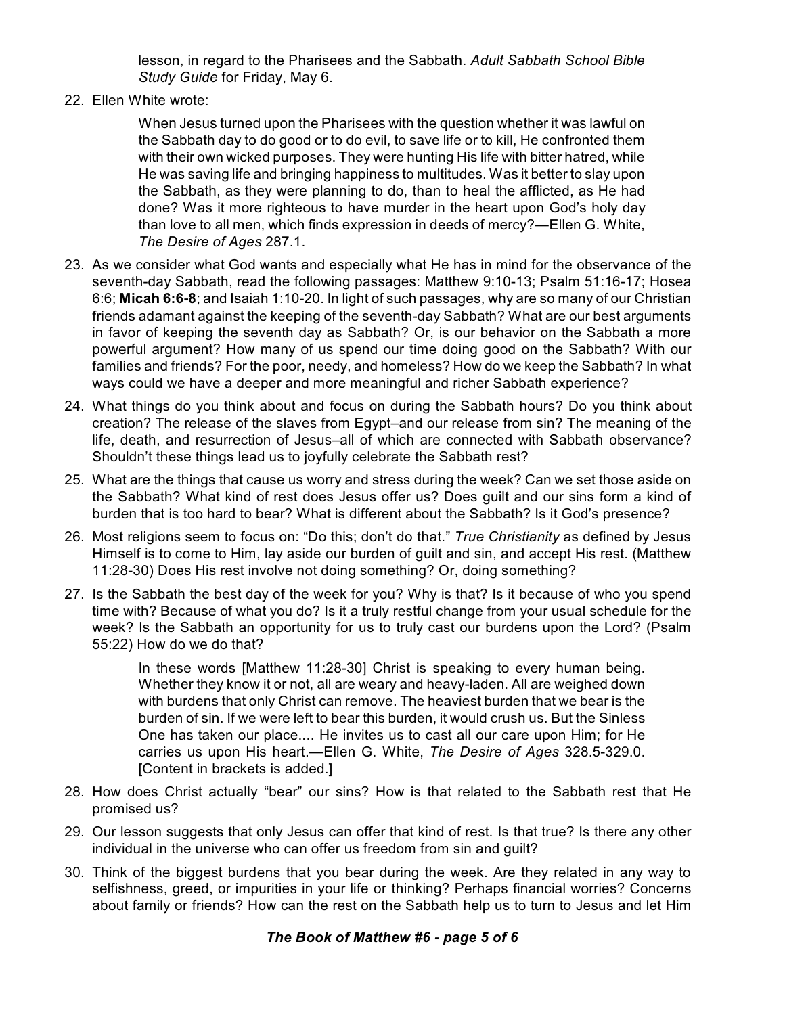lesson, in regard to the Pharisees and the Sabbath. *Adult Sabbath School Bible Study Guide* for Friday, May 6.

22. Ellen White wrote:

When Jesus turned upon the Pharisees with the question whether it was lawful on the Sabbath day to do good or to do evil, to save life or to kill, He confronted them with their own wicked purposes. They were hunting His life with bitter hatred, while He was saving life and bringing happiness to multitudes. Was it better to slay upon the Sabbath, as they were planning to do, than to heal the afflicted, as He had done? Was it more righteous to have murder in the heart upon God's holy day than love to all men, which finds expression in deeds of mercy?—Ellen G. White, *The Desire of Ages* 287.1.

- 23. As we consider what God wants and especially what He has in mind for the observance of the seventh-day Sabbath, read the following passages: Matthew 9:10-13; Psalm 51:16-17; Hosea 6:6; **Micah 6:6-8**; and Isaiah 1:10-20. In light of such passages, why are so many of our Christian friends adamant against the keeping of the seventh-day Sabbath? What are our best arguments in favor of keeping the seventh day as Sabbath? Or, is our behavior on the Sabbath a more powerful argument? How many of us spend our time doing good on the Sabbath? With our families and friends? For the poor, needy, and homeless? How do we keep the Sabbath? In what ways could we have a deeper and more meaningful and richer Sabbath experience?
- 24. What things do you think about and focus on during the Sabbath hours? Do you think about creation? The release of the slaves from Egypt–and our release from sin? The meaning of the life, death, and resurrection of Jesus–all of which are connected with Sabbath observance? Shouldn't these things lead us to joyfully celebrate the Sabbath rest?
- 25. What are the things that cause us worry and stress during the week? Can we set those aside on the Sabbath? What kind of rest does Jesus offer us? Does guilt and our sins form a kind of burden that is too hard to bear? What is different about the Sabbath? Is it God's presence?
- 26. Most religions seem to focus on: "Do this; don't do that." *True Christianity* as defined by Jesus Himself is to come to Him, lay aside our burden of guilt and sin, and accept His rest. (Matthew 11:28-30) Does His rest involve not doing something? Or, doing something?
- 27. Is the Sabbath the best day of the week for you? Why is that? Is it because of who you spend time with? Because of what you do? Is it a truly restful change from your usual schedule for the week? Is the Sabbath an opportunity for us to truly cast our burdens upon the Lord? (Psalm 55:22) How do we do that?

In these words [Matthew 11:28-30] Christ is speaking to every human being. Whether they know it or not, all are weary and heavy-laden. All are weighed down with burdens that only Christ can remove. The heaviest burden that we bear is the burden of sin. If we were left to bear this burden, it would crush us. But the Sinless One has taken our place.... He invites us to cast all our care upon Him; for He carries us upon His heart.—Ellen G. White, *The Desire of Ages* 328.5-329.0. [Content in brackets is added.]

- 28. How does Christ actually "bear" our sins? How is that related to the Sabbath rest that He promised us?
- 29. Our lesson suggests that only Jesus can offer that kind of rest. Is that true? Is there any other individual in the universe who can offer us freedom from sin and guilt?
- 30. Think of the biggest burdens that you bear during the week. Are they related in any way to selfishness, greed, or impurities in your life or thinking? Perhaps financial worries? Concerns about family or friends? How can the rest on the Sabbath help us to turn to Jesus and let Him

## *The Book of Matthew #6 - page 5 of 6*